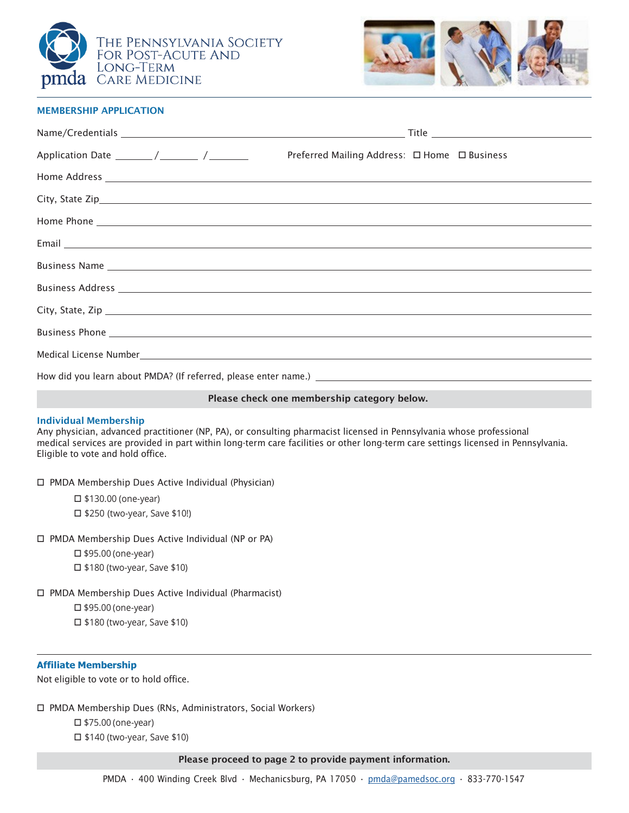



## MEMBERSHIP APPLICATION

|                                                                                  | Preferred Mailing Address: □ Home □ Business                                                                                                                                                                                         |
|----------------------------------------------------------------------------------|--------------------------------------------------------------------------------------------------------------------------------------------------------------------------------------------------------------------------------------|
|                                                                                  |                                                                                                                                                                                                                                      |
|                                                                                  |                                                                                                                                                                                                                                      |
|                                                                                  |                                                                                                                                                                                                                                      |
|                                                                                  | Email <u>contract the contract of the contract of the contract of the contract of the contract of the contract of the contract of the contract of the contract of the contract of the contract of the contract of the contract o</u> |
|                                                                                  |                                                                                                                                                                                                                                      |
|                                                                                  | Business Address experience and the contract of the contract of the contract of the contract of the contract of the contract of the contract of the contract of the contract of the contract of the contract of the contract o       |
|                                                                                  |                                                                                                                                                                                                                                      |
|                                                                                  |                                                                                                                                                                                                                                      |
|                                                                                  |                                                                                                                                                                                                                                      |
| How did you learn about PMDA? (If referred, please enter name.) ________________ |                                                                                                                                                                                                                                      |

Please check one membership category below.

## Individual Membership

Any physician, advanced practitioner (NP, PA), or consulting pharmacist licensed in Pennsylvania whose professional medical services are provided in part within long-term care facilities or other long-term care settings licensed in Pennsylvania. Eligible to vote and hold office.

PMDA Membership Dues Active Individual (Physician)

 \$130.00 (one-year) □ \$250 (two-year, Save \$10!)

□ PMDA Membership Dues Active Individual (NP or PA)

 $\square$  \$95.00 (one-year) □ \$180 (two-year, Save \$10)

PMDA Membership Dues Active Individual (Pharmacist)

□ \$95.00 (one-year)

 $\square$  \$180 (two-year, Save \$10)

## **Affiliate Membership**

Not eligible to vote or to hold office.

PMDA Membership Dues (RNs, Administrators, Social Workers)

□ \$75.00 (one-year) □ \$140 (two-year, Save \$10)

Please proceed to page 2 to provide payment information.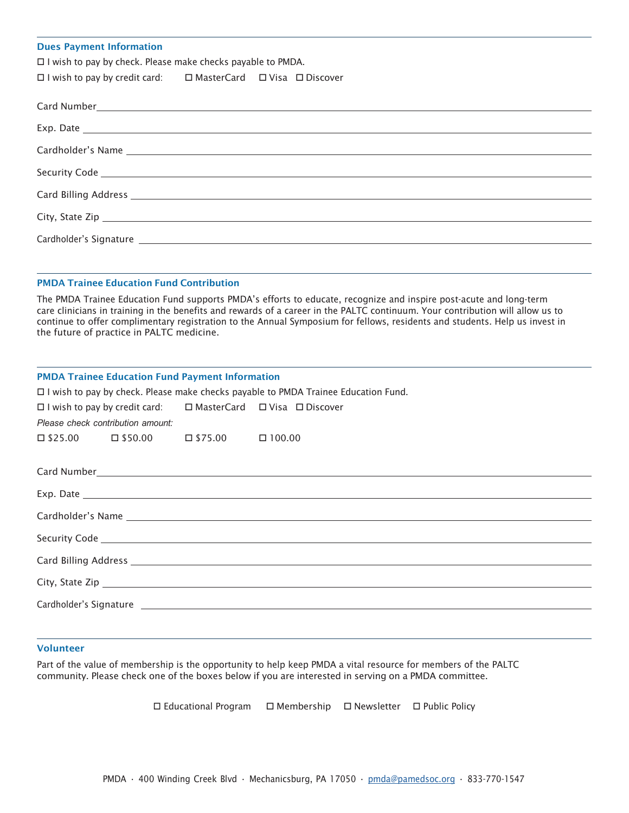#### Dues Payment Information

 $\Box$  I wish to pay by check. Please make checks payable to PMDA.

| $\Box$ I wish to pay by credit card: | $\square$ MasterCard |  | □ Visa □ Discover |
|--------------------------------------|----------------------|--|-------------------|
|--------------------------------------|----------------------|--|-------------------|

| Card Billing Address Lawrence and Card Billing Address |
|--------------------------------------------------------|
|                                                        |
|                                                        |

# PMDA Trainee Education Fund Contribution

The PMDA Trainee Education Fund supports PMDA's efforts to educate, recognize and inspire post-acute and long-term care clinicians in training in the benefits and rewards of a career in the PALTC continuum. Your contribution will allow us to continue to offer complimentary registration to the Annual Symposium for fellows, residents and students. Help us invest in the future of practice in PALTC medicine.

| <b>PMDA Trainee Education Fund Payment Information</b>                               |                                                                                    |  |  |  |
|--------------------------------------------------------------------------------------|------------------------------------------------------------------------------------|--|--|--|
| □ I wish to pay by check. Please make checks payable to PMDA Trainee Education Fund. |                                                                                    |  |  |  |
|                                                                                      | $\Box$ I wish to pay by credit card: $\Box$ MasterCard $\Box$ Visa $\Box$ Discover |  |  |  |
| Please check contribution amount:                                                    |                                                                                    |  |  |  |
|                                                                                      | $\Box $25.00 \qquad \Box $50.00 \qquad \Box $75.00 \qquad \Box 100.00$             |  |  |  |
|                                                                                      |                                                                                    |  |  |  |
|                                                                                      |                                                                                    |  |  |  |
|                                                                                      |                                                                                    |  |  |  |
|                                                                                      |                                                                                    |  |  |  |
|                                                                                      |                                                                                    |  |  |  |
|                                                                                      |                                                                                    |  |  |  |
|                                                                                      |                                                                                    |  |  |  |
|                                                                                      |                                                                                    |  |  |  |
|                                                                                      |                                                                                    |  |  |  |
|                                                                                      |                                                                                    |  |  |  |
|                                                                                      |                                                                                    |  |  |  |

## Volunteer

Part of the value of membership is the opportunity to help keep PMDA a vital resource for members of the PALTC community. Please check one of the boxes below if you are interested in serving on a PMDA committee.

 $\Box$  Educational Program  $\Box$  Membership  $\Box$  Newsletter  $\Box$  Public Policy